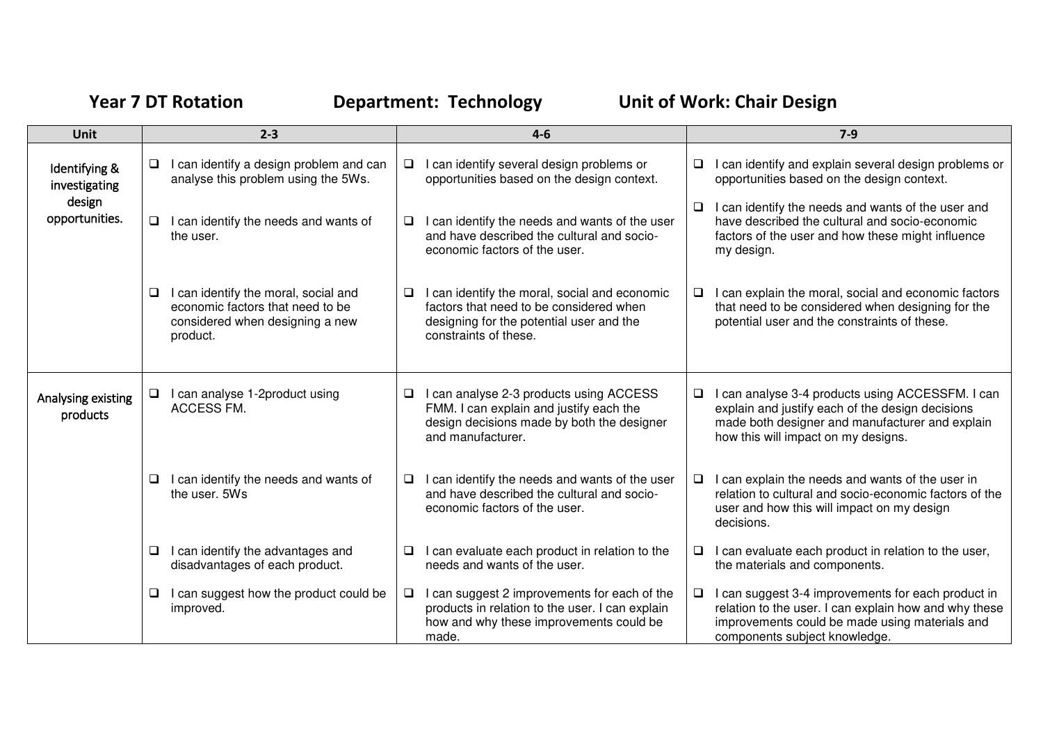## Year 7 DT Rotation **Department: Technology** Unit of Work: Chair Design

| <b>Unit</b>                    | $2 - 3$                                                                                                                      | $4 - 6$                                                                                                                                                               | $7-9$                                                                                                                                                                                                |
|--------------------------------|------------------------------------------------------------------------------------------------------------------------------|-----------------------------------------------------------------------------------------------------------------------------------------------------------------------|------------------------------------------------------------------------------------------------------------------------------------------------------------------------------------------------------|
| Identifying &<br>investigating | I can identify a design problem and can<br>$\Box$<br>analyse this problem using the 5Ws.                                     | can identify several design problems or<br>$\Box$<br>opportunities based on the design context.                                                                       | I can identify and explain several design problems or<br>⊔<br>opportunities based on the design context.                                                                                             |
| design<br>opportunities.       | I can identify the needs and wants of<br>$\Box$<br>the user.                                                                 | I can identify the needs and wants of the user<br>$\Box$<br>and have described the cultural and socio-<br>economic factors of the user.                               | I can identify the needs and wants of the user and<br>❏<br>have described the cultural and socio-economic<br>factors of the user and how these might influence<br>my design.                         |
|                                | I can identify the moral, social and<br>❏<br>economic factors that need to be<br>considered when designing a new<br>product. | can identify the moral, social and economic<br>$\Box$<br>factors that need to be considered when<br>designing for the potential user and the<br>constraints of these. | I can explain the moral, social and economic factors<br>u<br>that need to be considered when designing for the<br>potential user and the constraints of these.                                       |
| Analysing existing<br>products | I can analyse 1-2product using<br>❏<br>ACCESS FM.                                                                            | can analyse 2-3 products using ACCESS<br>$\Box$<br>FMM. I can explain and justify each the<br>design decisions made by both the designer<br>and manufacturer.         | I can analyse 3-4 products using ACCESSFM. I can<br>u<br>explain and justify each of the design decisions<br>made both designer and manufacturer and explain<br>how this will impact on my designs.  |
|                                | I can identify the needs and wants of<br>❏<br>the user, 5Ws                                                                  | I can identify the needs and wants of the user<br>$\Box$<br>and have described the cultural and socio-<br>economic factors of the user.                               | I can explain the needs and wants of the user in<br>⊔.<br>relation to cultural and socio-economic factors of the<br>user and how this will impact on my design<br>decisions.                         |
|                                | I can identify the advantages and<br>❏<br>disadvantages of each product.                                                     | can evaluate each product in relation to the<br>$\Box$<br>needs and wants of the user.                                                                                | I can evaluate each product in relation to the user,<br>u<br>the materials and components.                                                                                                           |
|                                | I can suggest how the product could be<br>❏<br>improved.                                                                     | can suggest 2 improvements for each of the<br>$\Box$<br>products in relation to the user. I can explain<br>how and why these improvements could be<br>made.           | I can suggest 3-4 improvements for each product in<br>⊔.<br>relation to the user. I can explain how and why these<br>improvements could be made using materials and<br>components subject knowledge. |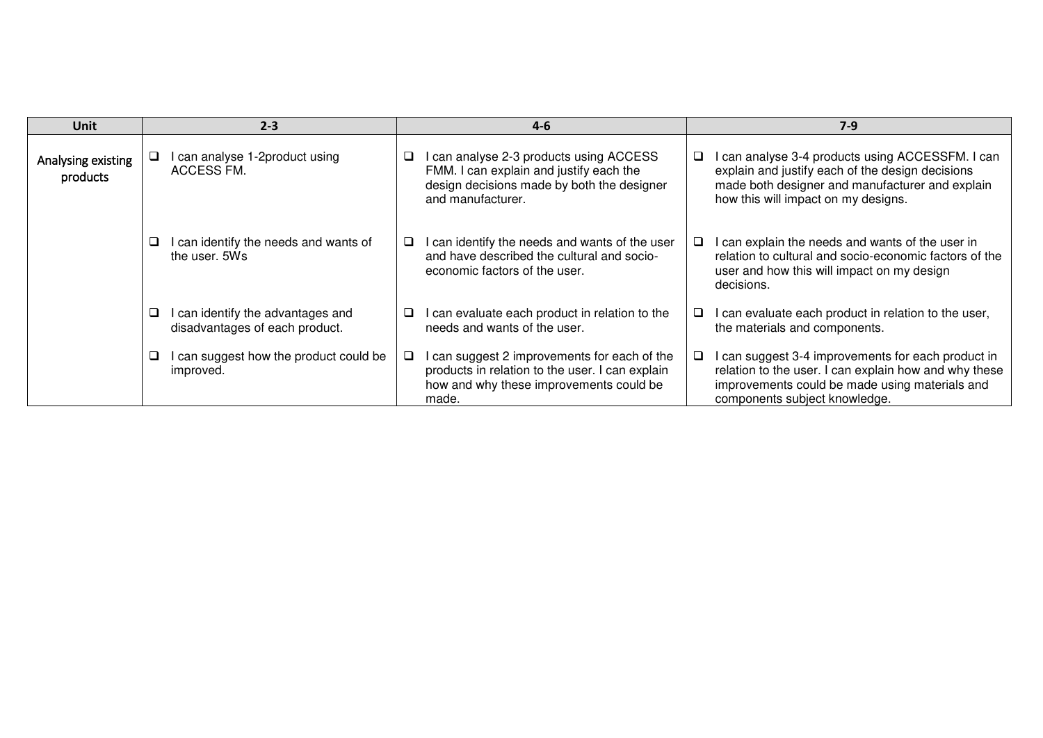| <b>Unit</b>                    |   | $2 - 3$                                                             | $4 - 6$                                                                                                                                             |    | $7-9$                                                                                                                                                                                          |
|--------------------------------|---|---------------------------------------------------------------------|-----------------------------------------------------------------------------------------------------------------------------------------------------|----|------------------------------------------------------------------------------------------------------------------------------------------------------------------------------------------------|
| Analysing existing<br>products |   | I can analyse 1-2product using<br>ACCESS FM.                        | can analyse 2-3 products using ACCESS<br>FMM. I can explain and justify each the<br>design decisions made by both the designer<br>and manufacturer. | a. | I can analyse 3-4 products using ACCESSFM. I can<br>explain and justify each of the design decisions<br>made both designer and manufacturer and explain<br>how this will impact on my designs. |
|                                | ❏ | I can identify the needs and wants of<br>the user, 5Ws              | can identify the needs and wants of the user<br>and have described the cultural and socio-<br>economic factors of the user.                         | u. | I can explain the needs and wants of the user in<br>relation to cultural and socio-economic factors of the<br>user and how this will impact on my design<br>decisions.                         |
|                                | ❏ | I can identify the advantages and<br>disadvantages of each product. | can evaluate each product in relation to the<br>needs and wants of the user.                                                                        |    | I can evaluate each product in relation to the user,<br>the materials and components.                                                                                                          |
|                                | ❏ | I can suggest how the product could be<br>improved.                 | can suggest 2 improvements for each of the<br>products in relation to the user. I can explain<br>how and why these improvements could be<br>made.   |    | I can suggest 3-4 improvements for each product in<br>relation to the user. I can explain how and why these<br>improvements could be made using materials and<br>components subject knowledge. |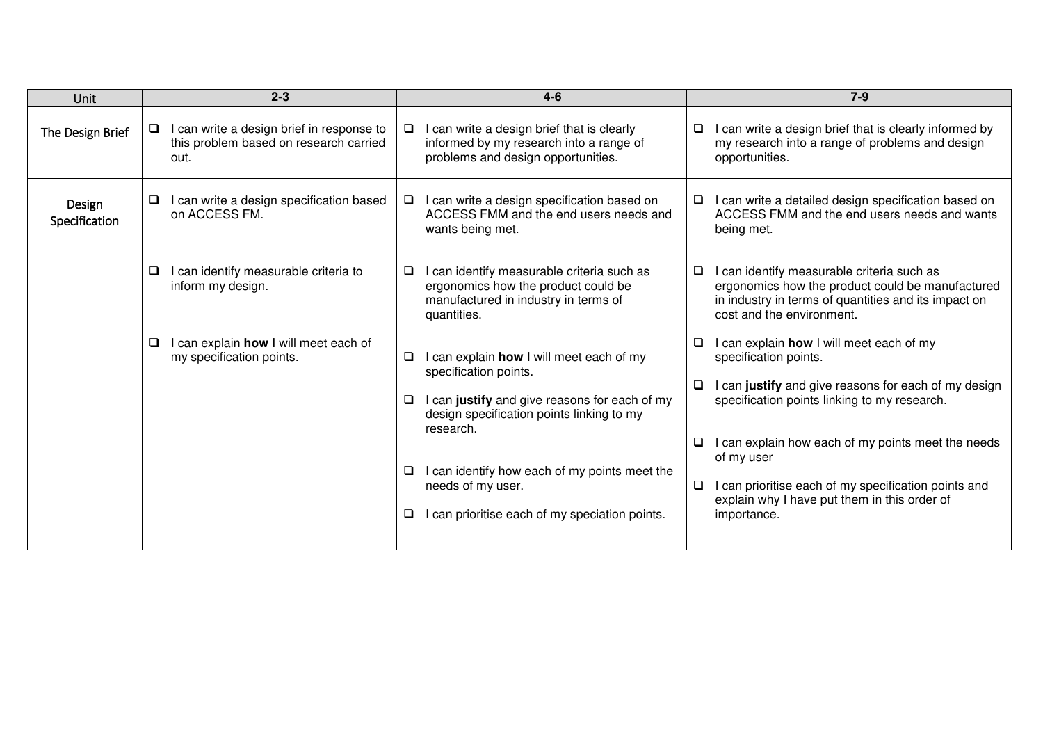| Unit                    | $2 - 3$                                                                                          | $4 - 6$                                                                                                                                                                                                                                                                                                                    | $7 - 9$                                                                                                                                                                                                                                                                                                                                                                                  |
|-------------------------|--------------------------------------------------------------------------------------------------|----------------------------------------------------------------------------------------------------------------------------------------------------------------------------------------------------------------------------------------------------------------------------------------------------------------------------|------------------------------------------------------------------------------------------------------------------------------------------------------------------------------------------------------------------------------------------------------------------------------------------------------------------------------------------------------------------------------------------|
| The Design Brief        | I can write a design brief in response to<br>⊔<br>this problem based on research carried<br>out. | I can write a design brief that is clearly<br>$\Box$<br>informed by my research into a range of<br>problems and design opportunities.                                                                                                                                                                                      | I can write a design brief that is clearly informed by<br>$\Box$<br>my research into a range of problems and design<br>opportunities.                                                                                                                                                                                                                                                    |
| Design<br>Specification | I can write a design specification based<br>on ACCESS FM.                                        | I can write a design specification based on<br>$\Box$<br>ACCESS FMM and the end users needs and<br>wants being met.                                                                                                                                                                                                        | I can write a detailed design specification based on<br>ACCESS FMM and the end users needs and wants<br>being met.                                                                                                                                                                                                                                                                       |
|                         | I can identify measurable criteria to<br>inform my design.                                       | can identify measurable criteria such as<br>$\Box$<br>ergonomics how the product could be<br>manufactured in industry in terms of<br>quantities.                                                                                                                                                                           | I can identify measurable criteria such as<br>$\Box$<br>ergonomics how the product could be manufactured<br>in industry in terms of quantities and its impact on<br>cost and the environment.                                                                                                                                                                                            |
|                         | I can explain how I will meet each of<br>❏<br>my specification points.                           | can explain how I will meet each of my<br>$\Box$<br>specification points.<br>can justify and give reasons for each of my<br>$\Box$<br>design specification points linking to my<br>research.<br>can identify how each of my points meet the<br>⊔<br>needs of my user.<br>can prioritise each of my speciation points.<br>□ | I can explain how I will meet each of my<br>❏<br>specification points.<br>I can justify and give reasons for each of my design<br>□<br>specification points linking to my research.<br>I can explain how each of my points meet the needs<br>of my user<br>I can prioritise each of my specification points and<br>$\Box$<br>explain why I have put them in this order of<br>importance. |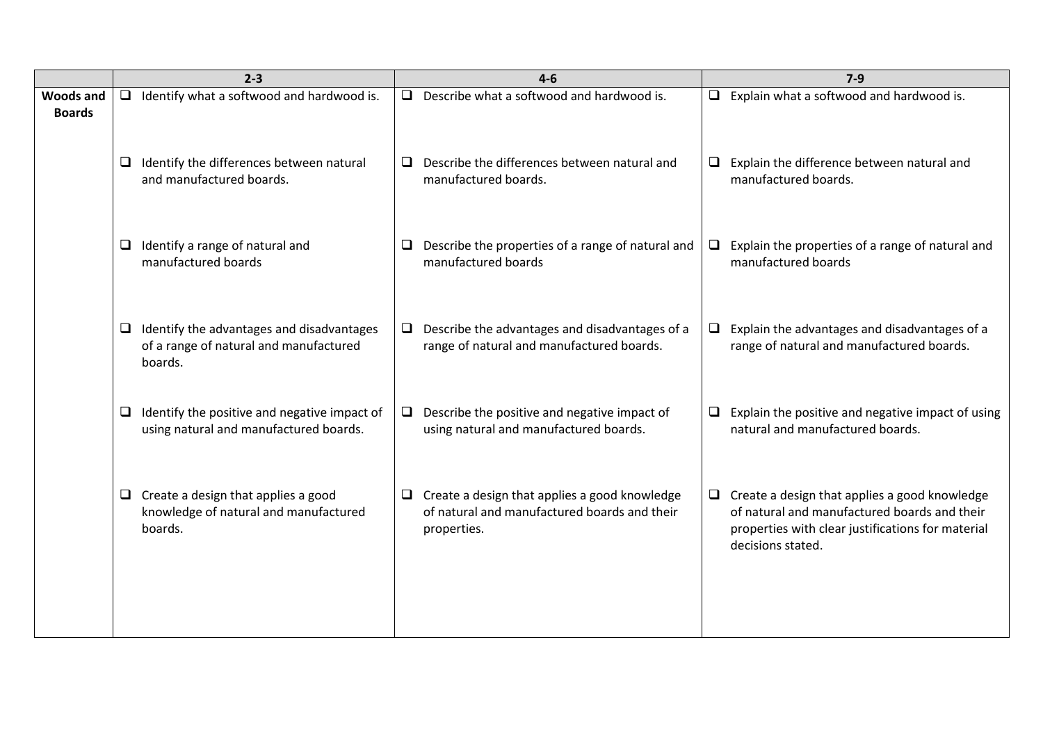| $2 - 3$                                                                                             | $4 - 6$                                                                                                             | $7-9$                                                                                                                                                                          |
|-----------------------------------------------------------------------------------------------------|---------------------------------------------------------------------------------------------------------------------|--------------------------------------------------------------------------------------------------------------------------------------------------------------------------------|
| Identify what a softwood and hardwood is.<br><b>Woods and</b><br>$\Box$                             | $\Box$<br>Describe what a softwood and hardwood is.                                                                 | $\Box$ Explain what a softwood and hardwood is.                                                                                                                                |
| $\Box$ Identify the differences between natural<br>and manufactured boards.                         | Describe the differences between natural and<br>□<br>manufactured boards.                                           | $\Box$ Explain the difference between natural and<br>manufactured boards.                                                                                                      |
| Identify a range of natural and<br>⊔<br>manufactured boards                                         | Describe the properties of a range of natural and<br>❏<br>manufactured boards                                       | Explain the properties of a range of natural and<br>$\Box$<br>manufactured boards                                                                                              |
| Identify the advantages and disadvantages<br>⊔<br>of a range of natural and manufactured<br>boards. | Describe the advantages and disadvantages of a<br>$\Box$<br>range of natural and manufactured boards.               | $\Box$ Explain the advantages and disadvantages of a<br>range of natural and manufactured boards.                                                                              |
| Identify the positive and negative impact of<br>⊔<br>using natural and manufactured boards.         | Describe the positive and negative impact of<br>$\Box$<br>using natural and manufactured boards.                    | Explain the positive and negative impact of using<br>$\Box$<br>natural and manufactured boards.                                                                                |
| $\Box$ Create a design that applies a good<br>knowledge of natural and manufactured<br>boards.      | $\Box$ Create a design that applies a good knowledge<br>of natural and manufactured boards and their<br>properties. | $\Box$ Create a design that applies a good knowledge<br>of natural and manufactured boards and their<br>properties with clear justifications for material<br>decisions stated. |
|                                                                                                     |                                                                                                                     |                                                                                                                                                                                |